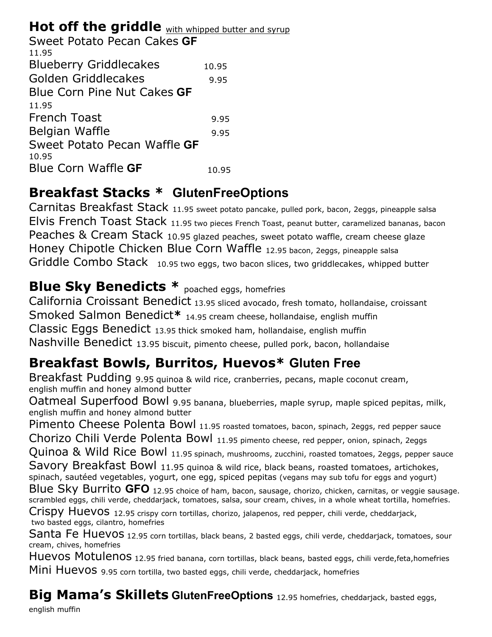### Hot off the griddle with whipped butter and syrup

| Sweet Potato Pecan Cakes GF   |       |
|-------------------------------|-------|
| 11.95                         |       |
| <b>Blueberry Griddlecakes</b> | 10.95 |
| Golden Griddlecakes           | 9.95  |
| Blue Corn Pine Nut Cakes GF   |       |
| 11.95                         |       |
| <b>French Toast</b>           | 9.95  |
| Belgian Waffle                | 9.95  |
| Sweet Potato Pecan Waffle GF  |       |
| 10.95                         |       |
| Blue Corn Waffle <b>GF</b>    | 10.95 |
|                               |       |

## **Breakfast Stacks \* GlutenFreeOptions**

Carnitas Breakfast Stack 11.95 sweet potato pancake, pulled pork, bacon, 2eggs, pineapple salsa Elvis French Toast Stack 11.95 two pieces French Toast, peanut butter, caramelized bananas, bacon Peaches & Cream Stack 10.95 glazed peaches, sweet potato waffle, cream cheese glaze Honey Chipotle Chicken Blue Corn Waffle 12.95 bacon, 2eggs, pineapple salsa Griddle Combo Stack 10.95 two eggs, two bacon slices, two griddlecakes, whipped butter

## **Blue Sky Benedicts \*** poached eggs, homefries

California Croissant Benedict 13.95 sliced avocado, fresh tomato, hollandaise, croissant Smoked Salmon Benedict**\*** 14.95 cream cheese, hollandaise, english muffin Classic Eggs Benedict 13.95 thick smoked ham, hollandaise, english muffin Nashville Benedict 13.95 biscuit, pimento cheese, pulled pork, bacon, hollandaise

## **Breakfast Bowls, Burritos, Huevos\* Gluten Free**

Breakfast Pudding 9.95 quinoa & wild rice, cranberries, pecans, maple coconut cream, english muffin and honey almond butter

Oatmeal Superfood Bowl 9.95 banana, blueberries, maple syrup, maple spiced pepitas, milk, english muffin and honey almond butter

Pimento Cheese Polenta Bowl 11.95 roasted tomatoes, bacon, spinach, 2eggs, red pepper sauce

Chorizo Chili Verde Polenta Bowl 11.95 pimento cheese, red pepper, onion, spinach, 2eggs

Quinoa & Wild Rice Bowl 11.95 spinach, mushrooms, zucchini, roasted tomatoes, 2eggs, pepper sauce

Savory Breakfast Bowl 11.95 quinoa & wild rice, black beans, roasted tomatoes, artichokes, spinach, sautéed vegetables, yogurt, one egg, spiced pepitas (vegans may sub tofu for eggs and yogurt)

Blue Sky Burrito **GFO** 12.95 choice of ham, bacon, sausage, chorizo, chicken, carnitas, or veggie sausage. scrambled eggs, chili verde, cheddarjack, tomatoes, salsa, sour cream, chives, in a whole wheat tortilla, homefries.

Crispy Huevos 12.95 crispy corn tortillas, chorizo, jalapenos, red pepper, chili verde, cheddarjack, two basted eggs, cilantro, homefries

Santa Fe Huevos 12.95 corn tortillas, black beans, 2 basted eggs, chili verde, cheddarjack, tomatoes, sour cream, chives, homefries

Huevos Motulenos 12.95 fried banana, corn tortillas, black beans, basted eggs, chili verde,feta,homefries

Mini Huevos 9.95 corn tortilla, two basted eggs, chili verde, cheddarjack, homefries

**Big Mama's Skillets GlutenFreeOptions** 12.95 homefries, cheddarjack, basted eggs,

english muffin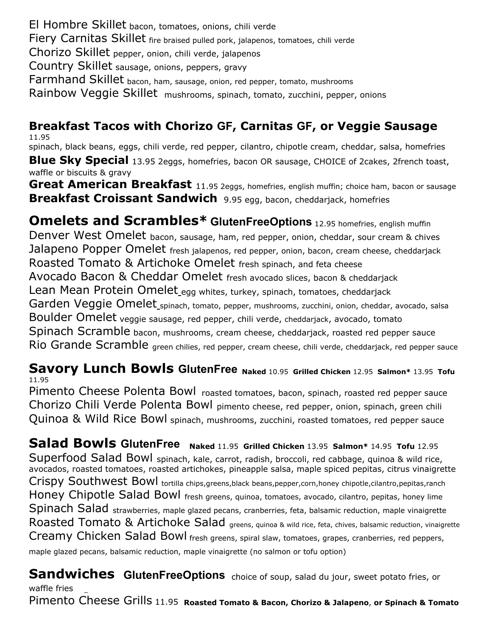El Hombre Skillet bacon, tomatoes, onions, chili verde Fiery Carnitas Skillet fire braised pulled pork, jalapenos, tomatoes, chili verde Chorizo Skillet pepper, onion, chili verde, jalapenos Country Skillet sausage, onions, peppers, gravy Farmhand Skillet bacon, ham, sausage, onion, red pepper, tomato, mushrooms Rainbow Veggie Skillet mushrooms, spinach, tomato, zucchini, pepper, onions

#### **Breakfast Tacos with Chorizo GF, Carnitas GF, or Veggie Sausage**  11.95

spinach, black beans, eggs, chili verde, red pepper, cilantro, chipotle cream, cheddar, salsa, homefries **Blue Sky Special** 13.95 2eggs, homefries, bacon OR sausage, CHOICE of 2cakes, 2french toast, waffle or biscuits & gravy

Great American Breakfast 11.95 2eggs, homefries, english muffin; choice ham, bacon or sausage **Breakfast Croissant Sandwich** 9.95 egg, bacon, cheddarjack, homefries

**Omelets and Scrambles\* GlutenFreeOptions** 12.95 homefries, english muffin Denver West Omelet bacon, sausage, ham, red pepper, onion, cheddar, sour cream & chives Jalapeno Popper Omelet fresh jalapenos, red pepper, onion, bacon, cream cheese, cheddarjack Roasted Tomato & Artichoke Omelet fresh spinach, and feta cheese Avocado Bacon & Cheddar Omelet fresh avocado slices, bacon & cheddarjack Lean Mean Protein Omelet\_egg whites, turkey, spinach, tomatoes, cheddarjack Garden Veggie Omelet<sub>\_spinach, tomato, pepper, mushrooms, zucchini, onion, cheddar, avocado, salsa</sub> Boulder Omelet veggie sausage, red pepper, chili verde, cheddarjack, avocado, tomato Spinach Scramble bacon, mushrooms, cream cheese, cheddarjack, roasted red pepper sauce Rio Grande Scramble green chilies, red pepper, cream cheese, chili verde, cheddarjack, red pepper sauce

#### **Savory Lunch Bowls GlutenFree Naked** 10.95 **Grilled Chicken** 12.95 **Salmon\*** 13.95 **Tofu**  11.95

Pimento Cheese Polenta Bowl roasted tomatoes, bacon, spinach, roasted red pepper sauce Chorizo Chili Verde Polenta Bowl pimento cheese, red pepper, onion, spinach, green chili Quinoa & Wild Rice Bowl spinach, mushrooms, zucchini, roasted tomatoes, red pepper sauce

**Salad Bowls GlutenFree Naked** 11.95 **Grilled Chicken** 13.95 **Salmon\*** 14.95 **Tofu** 12.95 Superfood Salad Bowl spinach, kale, carrot, radish, broccoli, red cabbage, quinoa & wild rice, avocados, roasted tomatoes, roasted artichokes, pineapple salsa, maple spiced pepitas, citrus vinaigrette Crispy Southwest Bowl tortilla chips,greens,black beans,pepper,corn,honey chipotle,cilantro,pepitas,ranch Honey Chipotle Salad Bowl fresh greens, quinoa, tomatoes, avocado, cilantro, pepitas, honey lime Spinach Salad strawberries, maple glazed pecans, cranberries, feta, balsamic reduction, maple vinaigrette Roasted Tomato & Artichoke Salad greens, quinoa & wild rice, feta, chives, balsamic reduction, vinaigrette Creamy Chicken Salad Bowl fresh greens, spiral slaw, tomatoes, grapes, cranberries, red peppers, maple glazed pecans, balsamic reduction, maple vinaigrette (no salmon or tofu option)

**Sandwiches GlutenFreeOptions** choice of soup, salad du jour, sweet potato fries, or waffle fries

Pimento Cheese Grills 11.95 **Roasted Tomato & Bacon, Chorizo & Jalapeno**, **or Spinach & Tomato**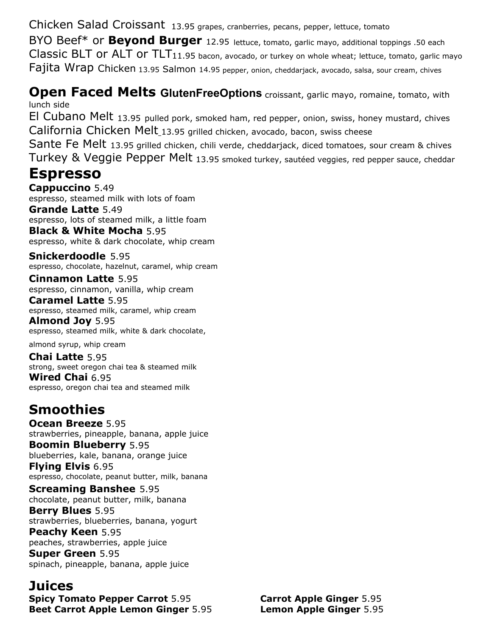Chicken Salad Croissant 13.95 grapes, cranberries, pecans, pepper, lettuce, tomato

BYO Beef\* or **Beyond Burger** 12.95 lettuce, tomato, garlic mayo, additional toppings .50 each  $Classic BLT$  or  $ALT$  or  $TLT<sub>11.95</sub>$  bacon, avocado, or turkey on whole wheat; lettuce, tomato, garlic mayo Fajita Wrap Chicken 13.95 Salmon 14.95 pepper, onion, cheddarjack, avocado, salsa, sour cream, chives

#### **Open Faced Melts GlutenFreeOptions** croissant, garlic mayo, romaine, tomato, with lunch side

El Cubano Melt 13.95 pulled pork, smoked ham, red pepper, onion, swiss, honey mustard, chives California Chicken Melt\_13.95 grilled chicken, avocado, bacon, swiss cheese

Sante Fe Melt 13.95 grilled chicken, chili verde, cheddarjack, diced tomatoes, sour cream & chives Turkey & Veggie Pepper Melt 13.95 smoked turkey, sautéed veggies, red pepper sauce, cheddar

### **Espresso**

**Cappuccino** 5.49 espresso, steamed milk with lots of foam **Grande Latte** 5.49 espresso, lots of steamed milk, a little foam **Black & White Mocha** 5.95 espresso, white & dark chocolate, whip cream

**Snickerdoodle** 5.95 espresso, chocolate, hazelnut, caramel, whip cream

**Cinnamon Latte** 5.95 espresso, cinnamon, vanilla, whip cream **Caramel Latte** 5.95

espresso, steamed milk, caramel, whip cream **Almond Joy** 5.95

espresso, steamed milk, white & dark chocolate,

almond syrup, whip cream

**Chai Latte** 5.95 strong, sweet oregon chai tea & steamed milk **Wired Chai** 6.95

espresso, oregon chai tea and steamed milk

# **Smoothies**

**Ocean Breeze** 5.95 strawberries, pineapple, banana, apple juice **Boomin Blueberry** 5.95 blueberries, kale, banana, orange juice **Flying Elvis** 6.95

espresso, chocolate, peanut butter, milk, banana

#### **Screaming Banshee** 5.95

chocolate, peanut butter, milk, banana **Berry Blues** 5.95 strawberries, blueberries, banana, yogurt **Peachy Keen** 5.95 peaches, strawberries, apple juice **Super Green** 5.95 spinach, pineapple, banana, apple juice

### **Juices**

**Spicy Tomato Pepper Carrot** 5.95 **Beet Carrot Apple Lemon Ginger** 5.95

**Carrot Apple Ginger** 5.95 **Lemon Apple Ginger** 5.95